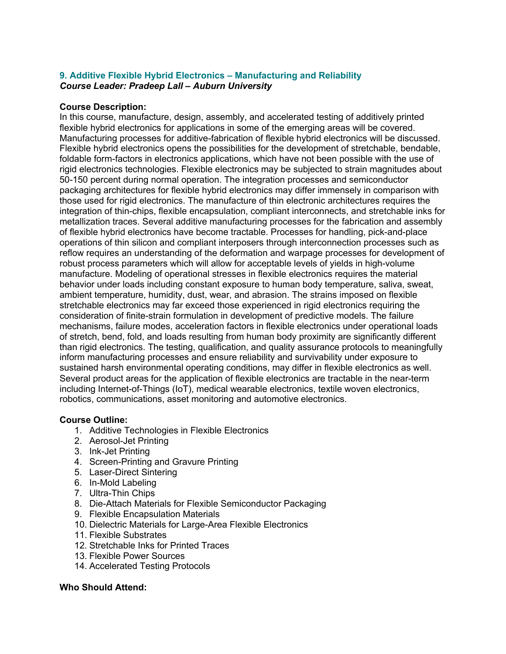## **9. Additive Flexible Hybrid Electronics – Manufacturing and Reliability** *Course Leader: Pradeep Lall – Auburn University*

## **Course Description:**

In this course, manufacture, design, assembly, and accelerated testing of additively printed flexible hybrid electronics for applications in some of the emerging areas will be covered. Manufacturing processes for additive-fabrication of flexible hybrid electronics will be discussed. Flexible hybrid electronics opens the possibilities for the development of stretchable, bendable, foldable form-factors in electronics applications, which have not been possible with the use of rigid electronics technologies. Flexible electronics may be subjected to strain magnitudes about 50-150 percent during normal operation. The integration processes and semiconductor packaging architectures for flexible hybrid electronics may differ immensely in comparison with those used for rigid electronics. The manufacture of thin electronic architectures requires the integration of thin-chips, flexible encapsulation, compliant interconnects, and stretchable inks for metallization traces. Several additive manufacturing processes for the fabrication and assembly of flexible hybrid electronics have become tractable. Processes for handling, pick-and-place operations of thin silicon and compliant interposers through interconnection processes such as reflow requires an understanding of the deformation and warpage processes for development of robust process parameters which will allow for acceptable levels of yields in high-volume manufacture. Modeling of operational stresses in flexible electronics requires the material behavior under loads including constant exposure to human body temperature, saliva, sweat, ambient temperature, humidity, dust, wear, and abrasion. The strains imposed on flexible stretchable electronics may far exceed those experienced in rigid electronics requiring the consideration of finite-strain formulation in development of predictive models. The failure mechanisms, failure modes, acceleration factors in flexible electronics under operational loads of stretch, bend, fold, and loads resulting from human body proximity are significantly different than rigid electronics. The testing, qualification, and quality assurance protocols to meaningfully inform manufacturing processes and ensure reliability and survivability under exposure to sustained harsh environmental operating conditions, may differ in flexible electronics as well. Several product areas for the application of flexible electronics are tractable in the near-term including Internet-of-Things (IoT), medical wearable electronics, textile woven electronics, robotics, communications, asset monitoring and automotive electronics.

## **Course Outline:**

- 1. Additive Technologies in Flexible Electronics
- 2. Aerosol-Jet Printing
- 3. Ink-Jet Printing
- 4. Screen-Printing and Gravure Printing
- 5. Laser-Direct Sintering
- 6. In-Mold Labeling
- 7. Ultra-Thin Chips
- 8. Die-Attach Materials for Flexible Semiconductor Packaging
- 9. Flexible Encapsulation Materials
- 10. Dielectric Materials for Large-Area Flexible Electronics
- 11. Flexible Substrates
- 12. Stretchable Inks for Printed Traces
- 13. Flexible Power Sources
- 14. Accelerated Testing Protocols

## **Who Should Attend:**